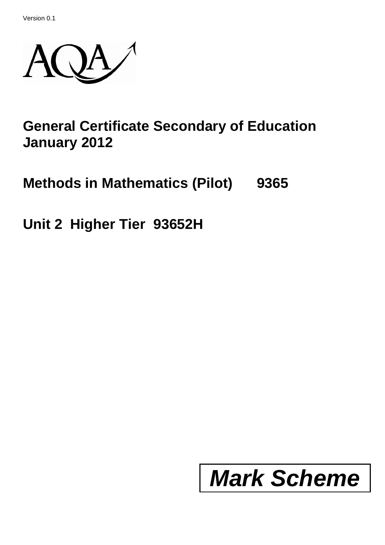Version 0.1



## **General Certificate Secondary of Education January 2012**

**Methods in Mathematics (Pilot) 9365**

**Unit 2 Higher Tier 93652H**

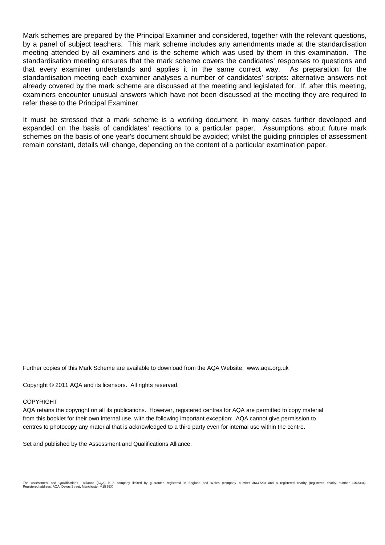Mark schemes are prepared by the Principal Examiner and considered, together with the relevant questions, by a panel of subject teachers. This mark scheme includes any amendments made at the standardisation meeting attended by all examiners and is the scheme which was used by them in this examination. The standardisation meeting ensures that the mark scheme covers the candidates' responses to questions and that every examiner understands and applies it in the same correct way. As preparation for the standardisation meeting each examiner analyses a number of candidates' scripts: alternative answers not already covered by the mark scheme are discussed at the meeting and legislated for. If, after this meeting, examiners encounter unusual answers which have not been discussed at the meeting they are required to refer these to the Principal Examiner.

It must be stressed that a mark scheme is a working document, in many cases further developed and expanded on the basis of candidates' reactions to a particular paper. Assumptions about future mark schemes on the basis of one year's document should be avoided; whilst the guiding principles of assessment remain constant, details will change, depending on the content of a particular examination paper.

Further copies of this Mark Scheme are available to download from the AQA Website: www.aqa.org.uk

Copyright © 2011 AQA and its licensors. All rights reserved.

## COPYRIGHT

AQA retains the copyright on all its publications. However, registered centres for AQA are permitted to copy material from this booklet for their own internal use, with the following important exception: AQA cannot give permission to centres to photocopy any material that is acknowledged to a third party even for internal use within the centre.

Set and published by the Assessment and Qualifications Alliance.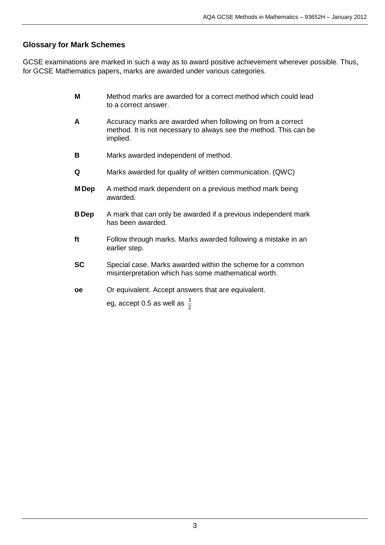## **Glossary for Mark Schemes**

GCSE examinations are marked in such a way as to award positive achievement wherever possible. Thus, for GCSE Mathematics papers, marks are awarded under various categories.

- **M** Method marks are awarded for a correct method which could lead to a correct answer.
- **A** Accuracy marks are awarded when following on from a correct method. It is not necessary to always see the method. This can be implied.
- **B** Marks awarded independent of method.
- **Q** Marks awarded for quality of written communication. (QWC)
- **M Dep** A method mark dependent on a previous method mark being awarded.
- **BDep** A mark that can only be awarded if a previous independent mark has been awarded.
- **ft** Follow through marks. Marks awarded following a mistake in an earlier step.
- **SC** Special case. Marks awarded within the scheme for a common misinterpretation which has some mathematical worth.
- **oe** Or equivalent. Accept answers that are equivalent.

eg, accept 0.5 as well as  $\frac{1}{2}$ 1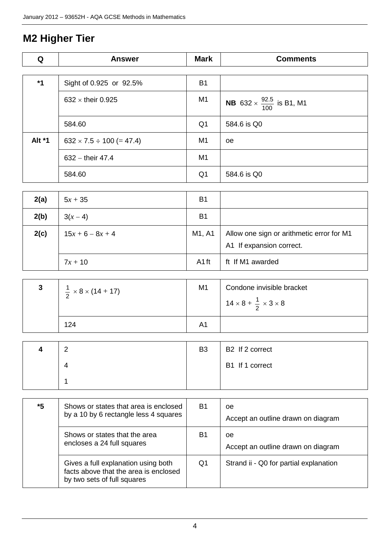## **M2 Higher Tier**

| Q      | <b>Answer</b>                      | <b>Mark</b>    | <b>Comments</b>                                     |
|--------|------------------------------------|----------------|-----------------------------------------------------|
|        |                                    |                |                                                     |
| $*1$   | Sight of 0.925 or 92.5%            | B <sub>1</sub> |                                                     |
|        | 632 $\times$ their 0.925           | M <sub>1</sub> | <b>NB</b> 632 $\times$ $\frac{92.5}{100}$ is B1, M1 |
|        | 584.60                             | Q1             | 584.6 is Q0                                         |
| Alt *1 | $632 \times 7.5 \div 100 (= 47.4)$ | M <sub>1</sub> | <sub>0e</sub>                                       |
|        | $632 -$ their 47.4                 | M <sub>1</sub> |                                                     |
|        | 584.60                             | Q <sub>1</sub> | 584.6 is Q0                                         |

| 2(a) | $5x + 35$          | B <sub>1</sub>    |                                                                       |
|------|--------------------|-------------------|-----------------------------------------------------------------------|
| 2(b) | $3(x-4)$           | B <sub>1</sub>    |                                                                       |
| 2(c) | $15x + 6 - 8x + 4$ | M1, A1            | Allow one sign or arithmetic error for M1<br>A1 If expansion correct. |
|      | $7x + 10$          | A <sub>1</sub> ft | ft If M1 awarded                                                      |

| $\frac{1}{2} \times 8 \times (14 + 17)$ | M <sub>1</sub> | Condone invisible bracket<br>$14 \times 8 + \frac{1}{2} \times 3 \times 8$ |
|-----------------------------------------|----------------|----------------------------------------------------------------------------|
| 124                                     | Α1             |                                                                            |

| r<br>- | B <sub>3</sub> | B2 If 2 correct |
|--------|----------------|-----------------|
|        |                | B1 If 1 correct |
|        |                |                 |

| *5 | Shows or states that area is enclosed<br>by a 10 by 6 rectangle less 4 squares                              | <b>B1</b> | 0e<br>Accept an outline drawn on diagram |
|----|-------------------------------------------------------------------------------------------------------------|-----------|------------------------------------------|
|    | Shows or states that the area<br>encloses a 24 full squares                                                 | B1        | 0e<br>Accept an outline drawn on diagram |
|    | Gives a full explanation using both<br>facts above that the area is enclosed<br>by two sets of full squares | Q1        | Strand ii - Q0 for partial explanation   |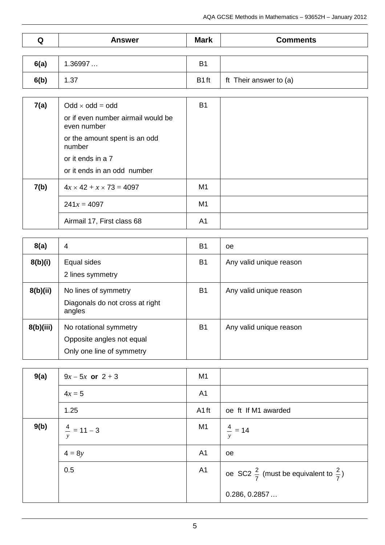| Q    | <b>Answer</b> | <b>Mark</b>    | <b>Comments</b>        |
|------|---------------|----------------|------------------------|
|      |               |                |                        |
| 6(a) | 1.36997       | B <sub>1</sub> |                        |
| 6(b) | 1.37          | B1ft           | ft Their answer to (a) |

| 7(a) | $Odd \times odd = odd$                            | B <sub>1</sub> |  |
|------|---------------------------------------------------|----------------|--|
|      | or if even number airmail would be<br>even number |                |  |
|      | or the amount spent is an odd<br>number           |                |  |
|      | or it ends in a 7                                 |                |  |
|      | or it ends in an odd number                       |                |  |
| 7(b) | $4x \times 42 + x \times 73 = 4097$               | M1             |  |
|      | $241x = 4097$                                     | M1             |  |
|      | Airmail 17, First class 68                        | A1             |  |

| 8(a)      | 4                                                                                | <b>B1</b>      | oe                      |
|-----------|----------------------------------------------------------------------------------|----------------|-------------------------|
| 8(b)(i)   | Equal sides<br>2 lines symmetry                                                  | B <sub>1</sub> | Any valid unique reason |
| 8(b)(ii)  | No lines of symmetry<br>Diagonals do not cross at right<br>angles                | <b>B1</b>      | Any valid unique reason |
| 8(b)(iii) | No rotational symmetry<br>Opposite angles not equal<br>Only one line of symmetry | <b>B1</b>      | Any valid unique reason |

| 9(a) | $9x - 5x$ or $2 + 3$   | M <sub>1</sub>    |                                                             |
|------|------------------------|-------------------|-------------------------------------------------------------|
|      | $4x = 5$               | A <sub>1</sub>    |                                                             |
|      | 1.25                   | A <sub>1</sub> ft | oe ft If M1 awarded                                         |
| 9(b) | $\frac{4}{x}$ = 11 – 3 | M1                | $\frac{4}{y}$ = 14                                          |
|      | $4 = 8y$               | A <sub>1</sub>    | oe                                                          |
|      | 0.5                    | A <sub>1</sub>    | oe SC2 $\frac{2}{7}$ (must be equivalent to $\frac{2}{7}$ ) |
|      |                        |                   | 0.286, 0.2857                                               |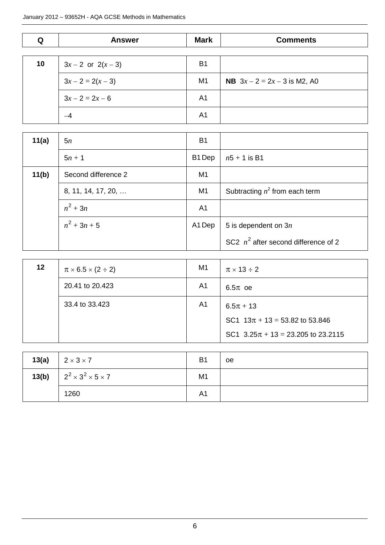| Q     | <b>Answer</b>          | <b>Mark</b>    | <b>Comments</b>                        |
|-------|------------------------|----------------|----------------------------------------|
|       |                        |                |                                        |
| 10    | $3x - 2$ or $2(x - 3)$ | <b>B1</b>      |                                        |
|       | $3x - 2 = 2(x - 3)$    | M1             | <b>NB</b> $3x - 2 = 2x - 3$ is M2, A0  |
|       | $3x - 2 = 2x - 6$      | A <sub>1</sub> |                                        |
|       | $-4$                   | A <sub>1</sub> |                                        |
|       |                        |                |                                        |
| 11(a) | 5n                     | <b>B1</b>      |                                        |
|       | $5n + 1$               | B1 Dep         | $n5 + 1$ is B1                         |
| 11(b) | Second difference 2    | M1             |                                        |
|       | 8, 11, 14, 17, 20,     | M1             | Subtracting $n^2$ from each term       |
|       | $n^2 + 3n$             | A <sub>1</sub> |                                        |
|       | $n^2 + 3n + 5$         | A1 Dep         | 5 is dependent on $3n$                 |
|       |                        |                | SC2 $n^2$ after second difference of 2 |

| 12 | $\pi \times 6.5 \times (2 \div 2)$ | M1             | $\pi \times 13 \div 2$                 |
|----|------------------------------------|----------------|----------------------------------------|
|    | 20.41 to 20.423                    | A <sub>1</sub> | $6.5\pi$ oe                            |
|    | 33.4 to 33.423                     | A <sub>1</sub> | $6.5\pi + 13$                          |
|    |                                    |                | SC1 $13\pi + 13 = 53.82$ to 53.846     |
|    |                                    |                | SC1 $3.25\pi + 13 = 23.205$ to 23.2115 |

| 13(a) | $2 \times 3 \times 7$                           | B <sub>1</sub> | <b>oe</b> |
|-------|-------------------------------------------------|----------------|-----------|
|       | <b>13(b)</b> $2^2 \times 3^2 \times 5 \times 7$ | M <sub>1</sub> |           |
|       | 1260                                            | A <sub>1</sub> |           |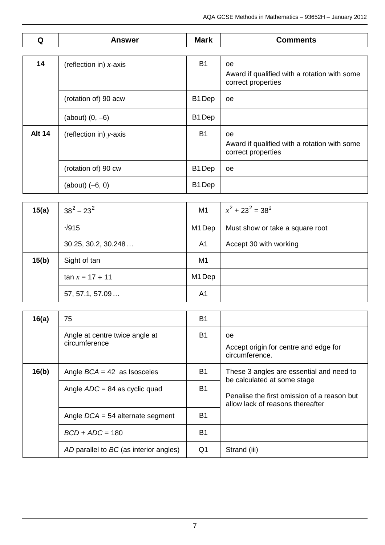| Q             | <b>Answer</b>             | <b>Mark</b>        | <b>Comments</b>                                                                 |
|---------------|---------------------------|--------------------|---------------------------------------------------------------------------------|
|               |                           |                    |                                                                                 |
| 14            | (reflection in) $x$ -axis | <b>B1</b>          | <b>oe</b><br>Award if qualified with a rotation with some<br>correct properties |
|               | (rotation of) 90 acw      | B <sub>1</sub> Dep | oe                                                                              |
|               | (about) $(0, -6)$         | B <sub>1</sub> Dep |                                                                                 |
| <b>Alt 14</b> | (reflection in) $y$ -axis | <b>B1</b>          | oe<br>Award if qualified with a rotation with some<br>correct properties        |
|               | (rotation of) 90 cw       | B <sub>1</sub> Dep | oe                                                                              |
|               | (about) $(-6, 0)$         | B1 Dep             |                                                                                 |

| 15(a) | $38^2 - 23^2$        | M1             | $x^2 + 23^2 = 38^2$             |
|-------|----------------------|----------------|---------------------------------|
|       | $\sqrt{915}$         | M1 Dep         | Must show or take a square root |
|       | 30.25, 30.2, 30.248  | A1             | Accept 30 with working          |
| 15(b) | Sight of tan         | M <sub>1</sub> |                                 |
|       | $tan x = 17 \div 11$ | M1 Dep         |                                 |
|       | 57, 57.1, 57.09      | A <sub>1</sub> |                                 |

| 16(a) | 75                                              | B1             |                                                                                 |
|-------|-------------------------------------------------|----------------|---------------------------------------------------------------------------------|
|       | Angle at centre twice angle at<br>circumference | B <sub>1</sub> | oe<br>Accept origin for centre and edge for<br>circumference.                   |
| 16(b) | Angle $BCA = 42$ as Isosceles                   | B <sub>1</sub> | These 3 angles are essential and need to<br>be calculated at some stage         |
|       | Angle $ADC = 84$ as cyclic quad                 | B <sub>1</sub> | Penalise the first omission of a reason but<br>allow lack of reasons thereafter |
|       | Angle $DCA = 54$ alternate segment              | B1             |                                                                                 |
|       | $BCD + ADC = 180$                               | B <sub>1</sub> |                                                                                 |
|       | AD parallel to BC (as interior angles)          | Q1             | Strand (iii)                                                                    |